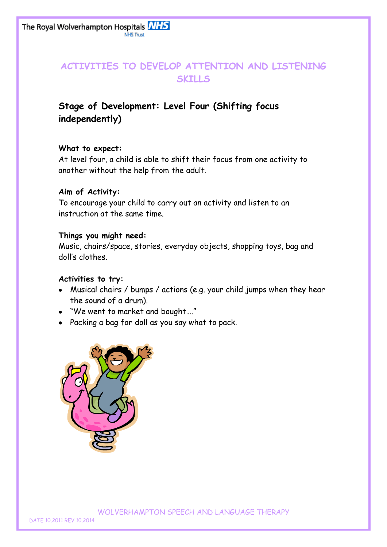## **ACTIVITIES TO DEVELOP ATTENTION AND LISTENING SKILLS**

# **Stage of Development: Level Four (Shifting focus independently)**

### **What to expect:**

At level four, a child is able to shift their focus from one activity to another without the help from the adult.

### **Aim of Activity:**

To encourage your child to carry out an activity and listen to an instruction at the same time.

### **Things you might need:**

Music, chairs/space, stories, everyday objects, shopping toys, bag and doll's clothes.

### **Activities to try:**

- Musical chairs / bumps / actions (e.g. your child jumps when they hear the sound of a drum).
- "We went to market and bought…."
- Packing a bag for doll as you say what to pack.